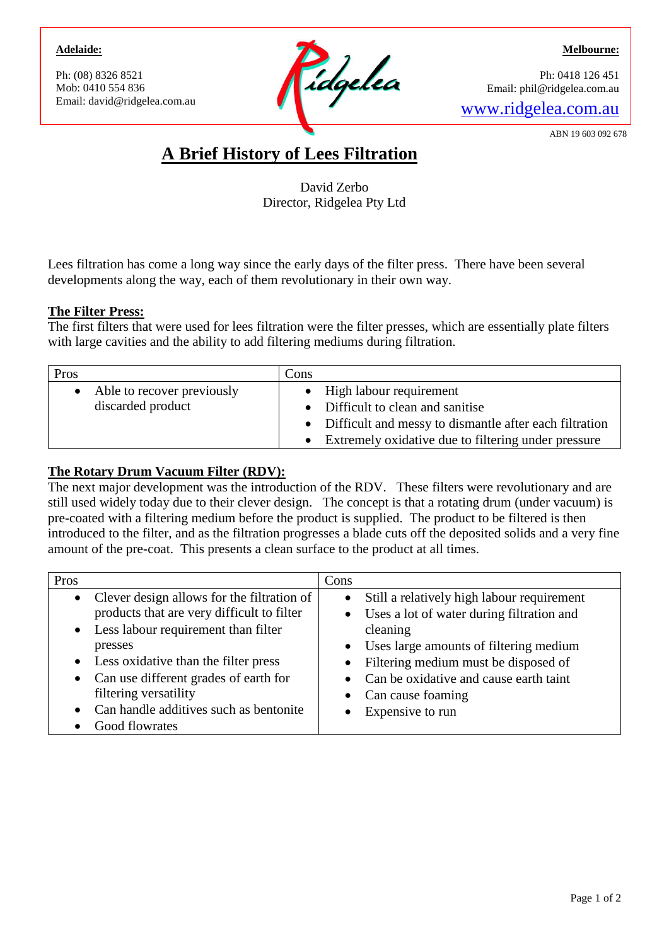#### **Adelaide:**

Ph: (08) 8326 8521 Mob: 0410 554 836



**Melbourne:**

Ph: 0418 126 451 Email: phil@ridgelea.com.au

ABN 19 603 092 678

# **A Brief History of Lees Filtration**

David Zerbo Director, Ridgelea Pty Ltd

Lees filtration has come a long way since the early days of the filter press. There have been several developments along the way, each of them revolutionary in their own way.

## **The Filter Press:**

The first filters that were used for lees filtration were the filter presses, which are essentially plate filters with large cavities and the ability to add filtering mediums during filtration.

| Pros |                              | Cons |                                                          |
|------|------------------------------|------|----------------------------------------------------------|
|      | • Able to recover previously |      | • High labour requirement                                |
|      | discarded product            |      | • Difficult to clean and sanitise                        |
|      |                              |      | • Difficult and messy to dismantle after each filtration |
|      |                              |      | • Extremely oxidative due to filtering under pressure    |

# **The Rotary Drum Vacuum Filter (RDV):**

The next major development was the introduction of the RDV. These filters were revolutionary and are still used widely today due to their clever design. The concept is that a rotating drum (under vacuum) is pre-coated with a filtering medium before the product is supplied. The product to be filtered is then introduced to the filter, and as the filtration progresses a blade cuts off the deposited solids and a very fine amount of the pre-coat. This presents a clean surface to the product at all times.

| Pros                                                                                                                                                                                                                                                                                                                                             | Cons                                                                                                                                                                                                                                                                               |
|--------------------------------------------------------------------------------------------------------------------------------------------------------------------------------------------------------------------------------------------------------------------------------------------------------------------------------------------------|------------------------------------------------------------------------------------------------------------------------------------------------------------------------------------------------------------------------------------------------------------------------------------|
| • Clever design allows for the filtration of<br>products that are very difficult to filter<br>• Less labour requirement than filter<br>presses<br>Less oxidative than the filter press<br>$\bullet$<br>• Can use different grades of earth for<br>filtering versatility<br>Can handle additives such as bentonite<br>$\bullet$<br>Good flowrates | Still a relatively high labour requirement<br>• Uses a lot of water during filtration and<br>cleaning<br>• Uses large amounts of filtering medium<br>• Filtering medium must be disposed of<br>• Can be oxidative and cause earth taint<br>• Can cause foaming<br>Expensive to run |